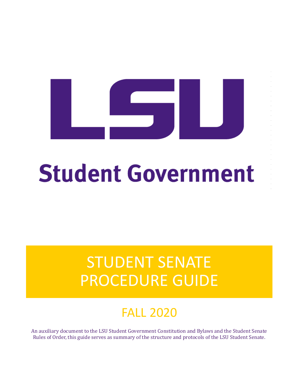# **Student Government**

## STUDENT SENATE PROCEDURE GUIDE

## FALL 2020

An auxiliary document to the LSU Student Government Constitution and Bylaws and the Student Senate Rules of Order, this guide serves as summary of the structure and protocols of the LSU Student Senate.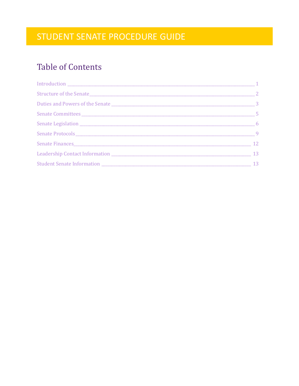## **Table of Contents**

| $5^{\circ}$ |
|-------------|
|             |
|             |
| 12          |
|             |
| 13          |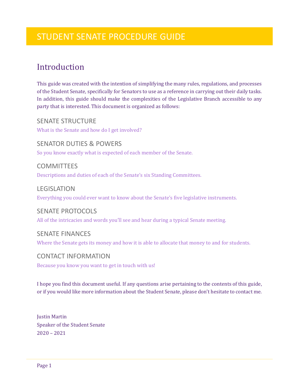## <span id="page-2-0"></span>Introduction

This guide was created with the intention of simplifying the many rules, regulations, and processes of the Student Senate, specifically for Senators to use as a reference in carrying out their daily tasks. In addition, this guide should make the complexities of the Legislative Branch accessible to any party that is interested. This document is organized as follows:

SENATE STRUCTURE What is the Senate and how do I get involved?

SENATOR DUTIES & POWERS So you know exactly what is expected of each member of the Senate.

**COMMITTEES** Descriptions and duties of each of the Senate's six Standing Committees.

LEGISLATION Everything you could ever want to know about the Senate's five legislative instruments.

### SENATE PROTOCOLS

All of the intricacies and words you'll see and hear during a typical Senate meeting.

#### SENATE FINANCES

Where the Senate gets its money and how it is able to allocate that money to and for students.

#### CONTACT INFORMATION

Because you know you want to get in touch with us!

I hope you find this document useful. If any questions arise pertaining to the contents of this guide, or if you would like more information about the Student Senate, please don't hesitate to contact me.

Justin Martin Speaker of the Student Senate 2020 – 2021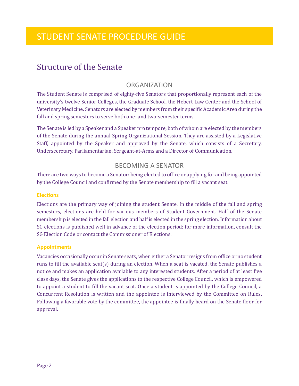## <span id="page-3-0"></span>Structure of the Senate

#### ORGANIZATION

The Student Senate is comprised of eighty-five Senators that proportionally represent each of the university's twelve Senior Colleges, the Graduate School, the Hebert Law Center and the School of Veterinary Medicine. Senators are elected by members from their specific Academic Area during the fall and spring semesters to serve both one- and two-semester terms.

The Senate is led by a Speaker and a Speaker pro tempore, both of whom are elected by the members of the Senate during the annual Spring Organizational Session. They are assisted by a Legislative Staff, appointed by the Speaker and approved by the Senate, which consists of a Secretary, Undersecretary, Parliamentarian, Sergeant-at-Arms and a Director of Communication.

#### BECOMING A SENATOR

There are two ways to become a Senator: being elected to office or applying for and being appointed by the College Council and confirmed by the Senate membership to fill a vacant seat.

#### **Elections**

Elections are the primary way of joining the student Senate. In the middle of the fall and spring semesters, elections are held for various members of Student Government. Half of the Senate membership is elected in the fall election and half is elected in the spring election. Information about SG elections is published well in advance of the election period; for more information, consult the SG Election Code or contact the Commissioner of Elections.

#### **Appointments**

Vacancies occasionally occur in Senate seats, when either a Senator resigns from office or no student runs to fill the available seat(s) during an election. When a seat is vacated, the Senate publishes a notice and makes an application available to any interested students. After a period of at least five class days, the Senate gives the applications to the respective College Council, which is empowered to appoint a student to fill the vacant seat. Once a student is appointed by the College Council, a Concurrent Resolution is written and the appointee is interviewed by the Committee on Rules. Following a favorable vote by the committee, the appointee is finally heard on the Senate floor for approval.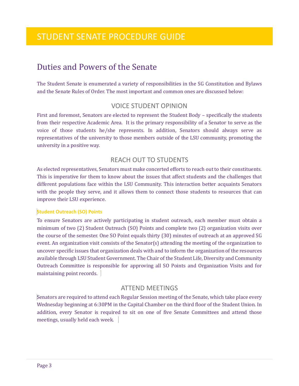## <span id="page-4-0"></span>Duties and Powers of the Senate

The Student Senate is enumerated a variety of responsibilities in the SG Constitution and Bylaws and the Senate Rules of Order. The most important and common ones are discussed below:

#### VOICE STUDENT OPINION

First and foremost, Senators are elected to represent the Student Body – specifically the students from their respective Academic Area. It is the primary responsibility of a Senator to serve as the voice of those students he/she represents. In addition, Senators should always serve as representatives of the university to those members outside of the LSU community, promoting the university in a positive way.

#### REACH OUT TO STUDENTS

As elected representatives, Senators must make concerted efforts to reach out to their constituents. This is imperative for them to know about the issues that affect students and the challenges that different populations face within the LSU Community. This interaction better acquaints Senators with the people they serve, and it allows them to connect those students to resources that can improve their LSU experience.

#### **Student Outreach (SO) Points**

To ensure Senators are actively participating in student outreach, each member must obtain a minimum of two (2) Student Outreach (SO) Points and complete two (2) organization visits over the course of the semester. One SO Point equals thirty (30) minutes of outreach at an approved SG event. An organization visit consists of the Senator(s) attending the meeting of the organization to uncover specific issues that organization deals with and to inform the organization of the resources available through LSU Student Government. The Chair of the Student Life, Diversity and Community Outreach Committee is responsible for approving all SO Points and Organization Visits and for maintaining point records.

#### ATTEND MEETINGS

Senators are required to attend each Regular Session meeting of the Senate, which take place every Wednesday beginning at 6:30PM in the Capital Chamber on the third floor of the Student Union. In addition, every Senator is required to sit on one of five Senate Committees and attend those meetings, usually held each week.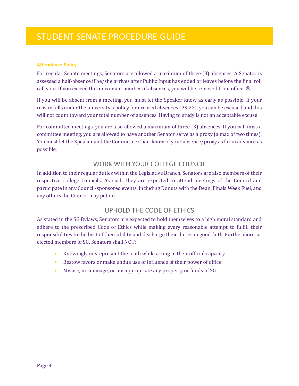#### **Attendance Policy**

For regular Senate meetings, Senators are allowed a maximum of three (3) absences. A Senator is assessed a half-absence if he/she arrives after Public Input has ended or leaves before the final roll call vote. If you exceed this maximum number of absences, you will be removed from office.  $\odot$ 

If you will be absent from a meeting, you must let the Speaker know as early as possible. If your reason falls under the university's policy for excused absences (PS-22), you can be excused and this will not count toward your total number of absences. Having to study is not an acceptable excuse!

For committee meetings, you are also allowed a maximum of three (3) absences. If you will miss a committee meeting, you are allowed to have another Senator serve as a proxy (a max of two times). You must let the Speaker and the Committee Chair know of your absence/proxy as far in advance as possible.

## WORK WITH YOUR COLLEGE COUNCIL

In addition to their regular duties within the Legislative Branch, Senators are also members of their respective College Councils. As such, they are expected to attend meetings of the Council and participate in any Council-sponsored events, including Donuts with the Dean, Finals Week Fuel, and any others the Council may put on.

#### UPHOLD THE CODE OF ETHICS

As stated in the SG Bylaws, Senators are expected to hold themselves to a high moral standard and adhere to the prescribed Code of Ethics while making every reasonable attempt to fulfill their responsibilities to the best of their ability and discharge their duties in good faith. Furthermore, as elected members of SG, Senators shall NOT:

- Knowingly misrepresent the truth while acting in their official capacity
- Bestow favors or make undue use of influence of their power of office
- Misuse, mismanage, or misappropriate any property or funds of SG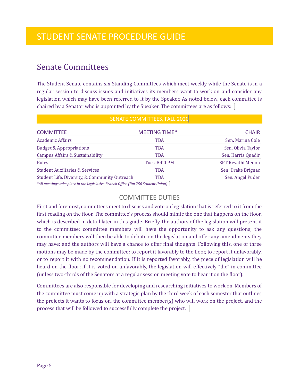## <span id="page-6-0"></span>Senate Committees

The Student Senate contains six Standing Committees which meet weekly while the Senate is in a regular session to discuss issues and initiatives its members want to work on and consider any legislation which may have been referred to it by the Speaker. As noted below, each committee is chaired by a Senator who is appointed by the Speaker. The committees are as follows:

| SENATE COMMITTEES, FALL 2020                                                                                                      |                      |                          |  |  |
|-----------------------------------------------------------------------------------------------------------------------------------|----------------------|--------------------------|--|--|
| <b>COMMITTEE</b>                                                                                                                  | <b>MEETING TIME*</b> | <b>CHAIR</b>             |  |  |
| <b>Academic Affairs</b>                                                                                                           | <b>TBA</b>           | Sen. Marina Cole         |  |  |
| <b>Budget &amp; Appropriations</b>                                                                                                | <b>TBA</b>           | Sen. Olivia Taylor       |  |  |
| <b>Campus Affairs &amp; Sustainability</b>                                                                                        | <b>TBA</b>           | Sen. Harris Quadir       |  |  |
| <b>Rules</b>                                                                                                                      | Tues. 8:00 PM        | <b>SPT Revathi Menon</b> |  |  |
| <b>Student Auxiliaries &amp; Services</b>                                                                                         | <b>TBA</b>           | Sen. Drake Brignac       |  |  |
| Student Life, Diversity, & Community Outreach<br>*All meetings take place in the Legislative Branch Office (Rm 256 Student Union) | <b>TBA</b>           | Sen. Angel Puder         |  |  |

#### COMMITTEE DUTIES

First and foremost, committees meet to discuss and vote on legislation that is referred to it from the first reading on the floor. The committee's process should mimic the one that happens on the floor, which is described in detail later in this guide. Briefly, the authors of the legislation will present it to the committee; committee members will have the opportunity to ask any questions; the committee members will then be able to debate on the legislation and offer any amendments they may have; and the authors will have a chance to offer final thoughts. Following this, one of three motions may be made by the committee: to report it favorably to the floor, to report it unfavorably, or to report it with no recommendation. If it is reported favorably, the piece of legislation will be heard on the floor; if it is voted on unfavorably, the legislation will effectively "die" in committee (unless two-thirds of the Senators at a regular session meeting vote to hear it on the floor).

Committees are also responsible for developing and researching initiatives to work on. Members of the committee must come up with a strategic plan by the third week of each semester that outlines the projects it wants to focus on, the committee member(s) who will work on the project, and the process that will be followed to successfully complete the project.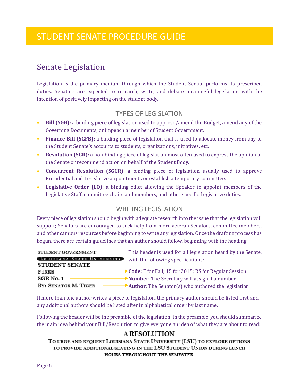## <span id="page-7-0"></span>Senate Legislation

Legislation is the primary medium through which the Student Senate performs its prescribed duties. Senators are expected to research, write, and debate meaningful legislation with the intention of positively impacting on the student body.

#### TYPES OF LEGISLATION

- **Bill (SGB):** a binding piece of legislation used to approve/amend the Budget, amend any of the Governing Documents, or impeach a member of Student Government.
- **Finance Bill (SGFB):** a binding piece of legislation that is used to allocate money from any of the Student Senate's accounts to students, organizations, initiatives, etc.
- **Resolution (SGR):** a non-binding piece of legislation most often used to express the opinion of the Senate or recommend action on behalf of the Student Body.
- **Concurrent Resolution (SGCR):** a binding piece of legislation usually used to approve Presidential and Legislative appointments or establish a temporary committee.
- **Legislative Order (LO):** a binding edict allowing the Speaker to appoint members of the Legislative Staff, committee chairs and members, and other specific Legislative duties.

#### WRITING LEGISLATION

Every piece of legislation should begin with adequate research into the issue that the legislation will support; Senators are encouraged to seek help from more veteran Senators, committee members, and other campus resources before beginning to write any legislation. Once the drafting process has begun, there are certain guidelines that an author should follow, beginning with the heading.

| STUDENT GOVERNMENT                | This header is used for all legislation heard by the Senate,        |
|-----------------------------------|---------------------------------------------------------------------|
| <b>LOUISIANA STATE UNIVERSITY</b> | with the following specifications:                                  |
| STUDENT SENATE                    |                                                                     |
| $F15\mathrm{RS}$                  | $\rightarrow$ Code: F for Fall; 15 for 2015; RS for Regular Session |
| SGR No. 1                         | $\rightarrow$ <b>Number:</b> The Secretary will assign it a number  |
| BY: SENATOR M. TIGER              | Author: The Senator(s) who authored the legislation                 |

If more than one author writes a piece of legislation, the primary author should be listed first and any additional authors should be listed after in alphabetical order by last name.

Following the header will be the preamble of the legislation. In the preamble, you should summarize the main idea behind your Bill/Resolution to give everyone an idea of what they are about to read:

#### **A RESOLUTION**

TO URGE AND REQUEST LOUISIANA STATE UNIVERSITY (LSU) TO EXPLORE OPTIONS TO PROVIDE ADDITIONAL SEATING IN THE LSU STUDENT UNION DURING LUNCH HOURS THROUGHOUT THE SEMESTER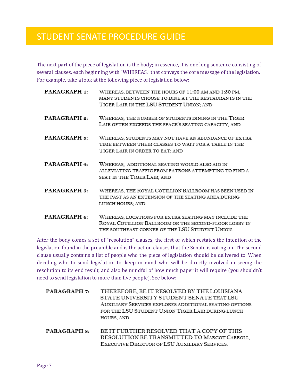The next part of the piece of legislation is the body; in essence, it is one long sentence consisting of several clauses, each beginning with "WHEREAS," that conveys the core message of the legislation. For example, take a look at the following piece of legislation below:

| PARAGRAPH 1:        | WHEREAS, BETWEEN THE HOURS OF 11:00 AM AND 1:30 PM,<br>MANY STUDENTS CHOOSE TO DINE AT THE RESTAURANTS IN THE<br>TIGER LAIR IN THE LSU STUDENT UNION; AND       |
|---------------------|-----------------------------------------------------------------------------------------------------------------------------------------------------------------|
| PARAGRAPH 2:        | WHEREAS, THE NUMBER OF STUDENTS DINING IN THE TIGER<br>LAIR OFTEN EXCEEDS THE SPACE'S SEATING CAPACITY; AND                                                     |
| PARAGRAPH 3:        | WHEREAS, STUDENTS MAY NOT HAVE AN ABUNDANCE OF EXTRA<br>TIME BETWEEN THEIR CLASSES TO WAIT FOR A TABLE IN THE<br>TIGER LAIR IN ORDER TO EAT; AND                |
| <b>PARAGRAPH</b> 4: | WHEREAS, ADDITIONAL SEATING WOULD ALSO AID IN<br>ALLEVIATING TRAFFIC FROM PATRONS ATTEMPTING TO FIND A<br>SEAT IN THE TIGER LAIR; AND                           |
| PARAGRAPH 5:        | WHEREAS, THE ROYAL COTILLION BALLROOM HAS BEEN USED IN<br>THE PAST AS AN EXTENSION OF THE SEATING AREA DURING<br>LUNCH HOURS; AND                               |
| PARAGRAPH 6:        | WHEREAS, LOCATIONS FOR EXTRA SEATING MAY INCLUDE THE<br>ROYAL COTILLION BALLROOM OR THE SECOND-FLOOR LOBBY IN<br>THE SOUTHEAST CORNER OF THE LSU STUDENT UNION. |

After the body comes a set of "resolution" clauses, the first of which restates the intention of the legislation found in the preamble and is the action clauses that the Senate is voting on. The second clause usually contains a list of people who the piece of legislation should be delivered to. When deciding who to send legislation to, keep in mind who will be directly involved in seeing the resolution to its end result, and also be mindful of how much paper it will require (you shouldn't need to send legislation to more than five people). See below:

| <b>PARAGRAPH 7:</b> | THEREFORE, BE IT RESOLVED BY THE LOUISIANA<br>STATE UNIVERSITY STUDENT SENATE THAT LSU<br>AUXILIARY SERVICES EXPLORES ADDITIONAL SEATING OPTIONS<br>FOR THE LSU STUDENT UNION TIGER LAIR DURING LUNCH<br>HOURS, AND |
|---------------------|---------------------------------------------------------------------------------------------------------------------------------------------------------------------------------------------------------------------|
| <b>PARAGRAPH 8:</b> | BE IT FURTHER RESOLVED THAT A COPY OF THIS<br>RESOLUTION BE TRANSMITTED TO MARGOT CARROLL,<br>EXECUTIVE DIRECTOR OF LSU AUXILIARY SERVICES.                                                                         |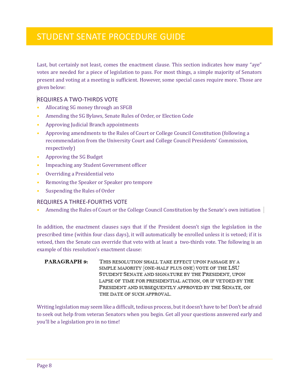Last, but certainly not least, comes the enactment clause. This section indicates how many "aye" votes are needed for a piece of legislation to pass. For most things, a simple majority of Senators present and voting at a meeting is sufficient. However, some special cases require more. Those are given below:

#### REQUIRES A TWO-THIRDS VOTE

- Allocating SG money through an SFGB
- Amending the SG Bylaws, Senate Rules of Order, or Election Code
- Approving Judicial Branch appointments
- Approving amendments to the Rules of Court or College Council Constitution (following a recommendation from the University Court and College Council Presidents' Commission, respectively)
- Approving the SG Budget
- Impeaching any Student Government officer
- Overriding a Presidential veto
- Removing the Speaker or Speaker pro tempore
- Suspending the Rules of Order

#### REQUIRES A THREE-FOURTHS VOTE

• Amending the Rules of Court or the College Council Constitution by the Senate's own initiation

In addition, the enactment clauses says that if the President doesn't sign the legislation in the prescribed time (within four class days), it will automatically be enrolled unless it is vetoed; if it is vetoed, then the Senate can override that veto with at least a two-thirds vote. The following is an example of this resolution's enactment clause:

#### PARAGRAPH 9: THIS RESOLUTION SHALL TAKE EFFECT UPON PASSAGE BY A SIMPLE MAJORITY (ONE-HALF PLUS ONE) VOTE OF THE LSU STUDENT SENATE AND SIGNATURE BY THE PRESIDENT, UPON LAPSE OF TIME FOR PRESIDENTIAL ACTION, OR IF VETOED BY THE PRESIDENT AND SUBSEQUENTLY APPROVED BY THE SENATE, ON THE DATE OF SUCH APPROVAL.

Writing legislation may seem like a difficult, tedious process, but it doesn't have to be! Don't be afraid to seek out help from veteran Senators when you begin. Get all your questions answered early and you'll be a legislation pro in no time!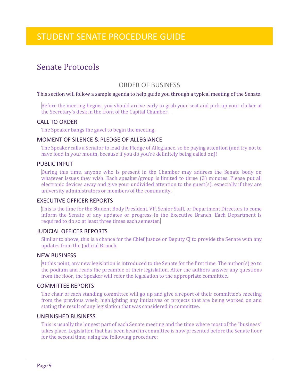## <span id="page-10-0"></span>Senate Protocols

#### ORDER OF BUSINESS

#### This section will follow a sample agenda to help guide you through a typical meeting of the Senate.

Before the meeting begins, you should arrive early to grab your seat and pick up your clicker at the Secretary's desk in the front of the Capital Chamber.

#### CALL TO ORDER

The Speaker bangs the gavel to begin the meeting.

#### MOMENT OF SILENCE & PLEDGE OF ALLEGIANCE

The Speaker calls a Senator to lead the Pledge of Allegiance, so be paying attention (and try not to have food in your mouth, because if you do you're definitely being called on)!

#### PUBLIC INPUT

During this time, anyone who is present in the Chamber may address the Senate body on whatever issues they wish. Each speaker/group is limited to three (3) minutes. Please put all electronic devices away and give your undivided attention to the guest(s), especially if they are university administrators or members of the community.

#### EXECUTIVE OFFICER REPORTS

This is the time for the Student Body President, VP, Senior Staff, or Department Directors to come inform the Senate of any updates or progress in the Executive Branch. Each Department is required to do so at least three times each semester.

#### JUDICIAL OFFICER REPORTS

Similar to above, this is a chance for the Chief Justice or Deputy CJ to provide the Senate with any updates from the Judicial Branch.

#### NEW BUSINESS

At this point, any new legislation is introduced to the Senate for the first time. The author(s) go to the podium and reads the preamble of their legislation. After the authors answer any questions from the floor, the Speaker will refer the legislation to the appropriate committee.

#### COMMITTEE REPORTS

The chair of each standing committee will go up and give a report of their committee's meeting from the previous week, highlighting any initiatives or projects that are being worked on and stating the result of any legislation that was considered in committee.

#### UNFINISHED BUSINESS

This is usually the longest part of each Senate meeting and the time where most of the "business" takes place. Legislation that has been heard in committee is now presented before the Senate floor for the second time, using the following procedure: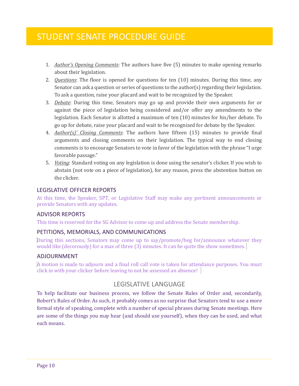- 1. *Author's Opening Comments*: The authors have five (5) minutes to make opening remarks about their legislation.
- 2. *Questions*: The floor is opened for questions for ten (10) minutes. During this time, any Senator can ask a question or series of questions to the author(s) regarding their legislation. To ask a question, raise your placard and wait to be recognized by the Speaker.
- 3. *Debate*: During this time, Senators may go up and provide their own arguments for or against the piece of legislation being considered and/or offer any amendments to the legislation. Each Senator is allotted a maximum of ten (10) minutes for his/her debate. To go up for debate, raise your placard and wait to be recognized for debate by the Speaker.
- 4. *Author(s)' Closing Comments*: The authors have fifteen (15) minutes to provide final arguments and closing comments on their legislation. The typical way to end closing comments is to encourage Senators to vote in favor of the legislation with the phrase "I urge favorable passage."
- 5. *Voting*: Standard voting on any legislation is done using the senator's clicker. If you wish to abstain (not vote on a piece of legislation), for any reason, press the abstention button on the clicker.

#### LEGISLATIVE OFFICER REPORTS

At this time, the Speaker, SPT, or Legislative Staff may make any pertinent announcements or provide Senators with any updates.

#### ADVISOR REPORTS

This time is reserved for the SG Advisor to come up and address the Senate membership.

#### PETITIONS, MEMORIALS, AND COMMUNICATIONS

During this sections, Senators may come up to say/promote/beg for/announce whatever they would like (decorously) for a max of three (3) minutes. It can be quite the show sometimes.

#### ADJOURNMENT

A motion is made to adjourn and a final roll call vote is taken for attendance purposes. You must click in with your clicker before leaving to not be assessed an absence!

#### LEGISLATIVE LANGUAGE

To help facilitate our business process, we follow the Senate Rules of Order and, secondarily, Robert's Rules of Order. As such, it probably comes as no surprise that Senators tend to use a more formal style of speaking, complete with a number of special phrases during Senate meetings. Here are some of the things you may hear (and should use yourself), when they can be used, and what each means.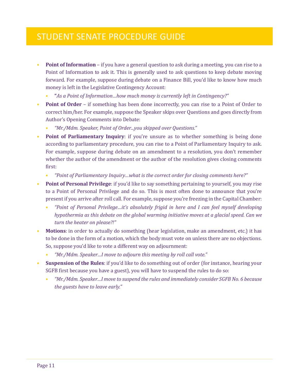- **Point of Information** if you have a general question to ask during a meeting, you can rise to a Point of Information to ask it. This is generally used to ask questions to keep debate moving forward. For example, suppose during debate on a Finance Bill, you'd like to know how much money is left in the Legislative Contingency Account:
	- **"***As a Point of Information…how much money is currently left in Contingency?"*
- **Point of Order** if something has been done incorrectly, you can rise to a Point of Order to correct him/her. For example, suppose the Speaker skips over Questions and goes directly from Author's Opening Comments into Debate:
	- *"Mr./Mdm. Speaker, Point of Order...you skipped over Questions."*
- **Point of Parliamentary Inquiry**: if you're unsure as to whether something is being done according to parliamentary procedure, you can rise to a Point of Parliamentary Inquiry to ask. For example, suppose during debate on an amendment to a resolution, you don't remember whether the author of the amendment or the author of the resolution gives closing comments first:
	- *"Point of Parliamentary Inquiry…what is the correct order for closing comments here?"*
- **Point of Personal Privilege**: if you'd like to say something pertaining to yourself, you may rise to a Point of Personal Privilege and do so. This is most often done to announce that you're present if you arrive after roll call. For example, suppose you're freezing in the Capital Chamber:
	- *"Point of Personal Privilege…it's absolutely frigid in here and I can feel myself developing hypothermia as this debate on the global warming initiative moves at a glacial speed. Can we turn the heater on please?!"*
- **Motions**: in order to actually do something (hear legislation, make an amendment, etc.) it has to be done in the form of a motion, which the body must vote on unless there are no objections. So, suppose you'd like to vote a different way on adjournment:
	- *"Mr./Mdm. Speaker…I move to adjourn this meeting by roll call vote."*
- **Suspension of the Rules**: if you'd like to do something out of order (for instance, hearing your SGFB first because you have a guest), you will have to suspend the rules to do so:
	- *"Mr./Mdm. Speaker…I move to suspend the rules and immediately consider SGFB No. 6 because the guests have to leave early."*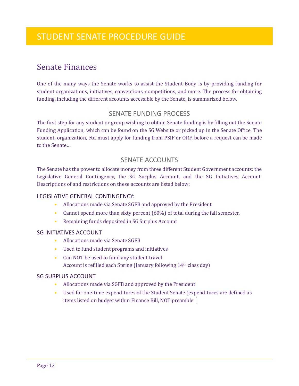## <span id="page-13-0"></span>Senate Finances

One of the many ways the Senate works to assist the Student Body is by providing funding for student organizations, initiatives, conventions, competitions, and more. The process for obtaining funding, including the different accounts accessible by the Senate, is summarized below.

### SENATE FUNDING PROCESS

The first step for any student or group wishing to obtain Senate funding is by filling out the Senate Funding Application, which can be found on the SG Website or picked up in the Senate Office. The student, organization, etc. must apply for funding from PSIF or ORF, before a request can be made to the Senate…

#### SENATE ACCOUNTS

The Senate has the power to allocate money from three different Student Government accounts: the Legislative General Contingency, the SG Surplus Account, and the SG Initiatives Account. Descriptions of and restrictions on these accounts are listed below:

#### LEGISLATIVE GENERAL CONTINGENCY:

- Allocations made via Senate SGFB and approved by the President
- Cannot spend more than sixty percent (60%) of total during the fall semester.
- Remaining funds deposited in SG Surplus Account

#### SG INITIATIVES ACCOUNT

- Allocations made via Senate SGFB
- Used to fund student programs and initiatives
- Can NOT be used to fund any student travel Account is refilled each Spring (January following 14th class day)

#### SG SURPLUS ACCOUNT

- Allocations made via SGFB and approved by the President
- Used for one-time expenditures of the Student Senate (expenditures are defined as items listed on budget within Finance Bill, NOT preamble